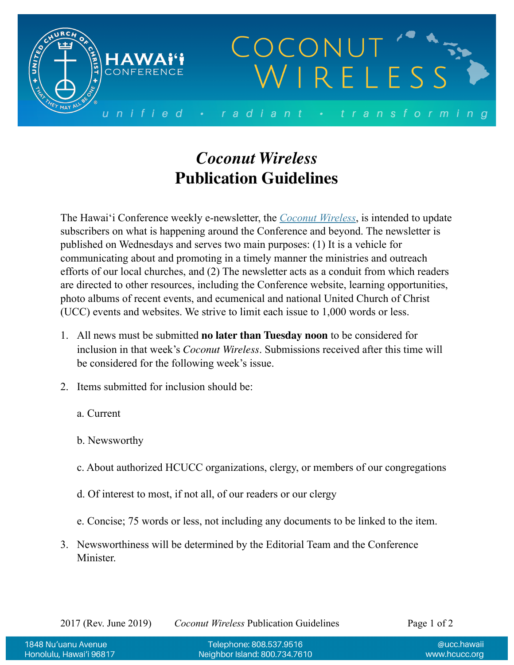

## *Coconut Wireless* **Publication Guidelines**

The Hawai'i Conference weekly e-newsletter, the *[Coconut Wireless](https://www.hcucc.org/coconut-wireless)*, is intended to update subscribers on what is happening around the Conference and beyond. The newsletter is published on Wednesdays and serves two main purposes: (1) It is a vehicle for communicating about and promoting in a timely manner the ministries and outreach efforts of our local churches, and (2) The newsletter acts as a conduit from which readers are directed to other resources, including the Conference website, learning opportunities, photo albums of recent events, and ecumenical and national United Church of Christ (UCC) events and websites. We strive to limit each issue to 1,000 words or less.

- 1. All news must be submitted **no later than Tuesday noon** to be considered for inclusion in that week's *Coconut Wireless*. Submissions received after this time will be considered for the following week's issue.
- 2. Items submitted for inclusion should be:
	- a. Current
	- b. Newsworthy
	- c. About authorized HCUCC organizations, clergy, or members of our congregations
	- d. Of interest to most, if not all, of our readers or our clergy
	- e. Concise; 75 words or less, not including any documents to be linked to the item.
- 3. Newsworthiness will be determined by the Editorial Team and the Conference Minister.

2017 (Rev. June 2019) *Coconut Wireless* Publication Guidelines Page 1 of 2